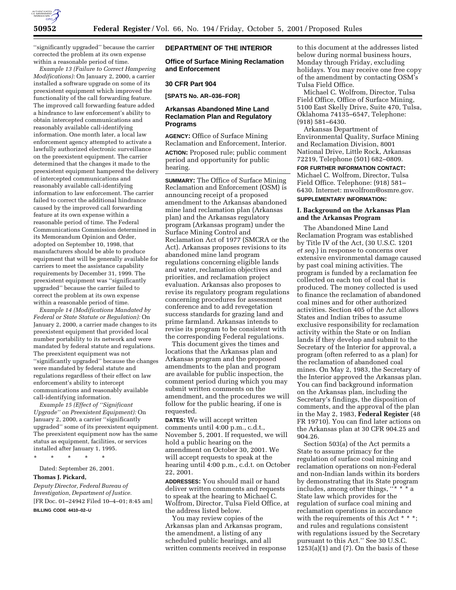

''significantly upgraded'' because the carrier corrected the problem at its own expense within a reasonable period of time.

*Example 13 (Failure to Correct Hampering Modifications):* On January 2, 2000, a carrier installed a software upgrade on some of its preexistent equipment which improved the functionality of the call forwarding feature. The improved call forwarding feature added a hindrance to law enforcement's ability to obtain intercepted communications and reasonably available call-identifying information. One month later, a local law enforcement agency attempted to activate a lawfully authorized electronic surveillance on the preexistent equipment. The carrier determined that the changes it made to the preexistent equipment hampered the delivery of intercepted communications and reasonably available call-identifying information to law enforcement. The carrier failed to correct the additional hindrance caused by the improved call forwarding feature at its own expense within a reasonable period of time. The Federal Communications Commission determined in its Memorandum Opinion and Order, adopted on September 10, 1998, that manufacturers should be able to produce equipment that will be generally available for carriers to meet the assistance capability requirements by December 31, 1999. The preexistent equipment was ''significantly upgraded'' because the carrier failed to correct the problem at its own expense within a reasonable period of time.

*Example 14 (Modifications Mandated by Federal or State Statute or Regulation):* On January 2, 2000, a carrier made changes to its preexistent equipment that provided local number portability to its network and were mandated by federal statute and regulations. The preexistent equipment was not ''significantly upgraded'' because the changes were mandated by federal statute and regulations regardless of their effect on law enforcement's ability to intercept communications and reasonably available call-identifying information.

*Example 15 (Effect of ''Significant Upgrade'' on Preexistent Equipment):* On January 2, 2000, a carrier ''significantly upgraded'' some of its preexistent equipment. The preexistent equipment now has the same status as equipment, facilities, or services installed after January 1, 1995.

\* \* \* \* \*

Dated: September 26, 2001.

#### **Thomas J. Pickard,**

*Deputy Director, Federal Bureau of Investigation, Department of Justice.* [FR Doc. 01–24942 Filed 10–4–01; 8:45 am]

**BILLING CODE 4410–02–U**

### **DEPARTMENT OF THE INTERIOR**

**Office of Surface Mining Reclamation and Enforcement**

#### **30 CFR Part 904**

**[SPATS No. AR–036–FOR]**

### **Arkansas Abandoned Mine Land Reclamation Plan and Regulatory Programs**

**AGENCY:** Office of Surface Mining Reclamation and Enforcement, Interior. **ACTION:** Proposed rule; public comment period and opportunity for public hearing.

**SUMMARY:** The Office of Surface Mining Reclamation and Enforcement (OSM) is announcing receipt of a proposed amendment to the Arkansas abandoned mine land reclamation plan (Arkansas plan) and the Arkansas regulatory program (Arkansas program) under the Surface Mining Control and Reclamation Act of 1977 (SMCRA or the Act). Arkansas proposes revisions to its abandoned mine land program regulations concerning eligible lands and water, reclamation objectives and priorities, and reclamation project evaluation. Arkansas also proposes to revise its regulatory program regulations concerning procedures for assessment conference and to add revegetation success standards for grazing land and prime farmland. Arkansas intends to revise its program to be consistent with the corresponding Federal regulations.

This document gives the times and locations that the Arkansas plan and Arkansas program and the proposed amendments to the plan and program are available for public inspection, the comment period during which you may submit written comments on the amendment, and the procedures we will follow for the public hearing, if one is requested.

**DATES:** We will accept written comments until 4:00 p.m., c.d.t., November 5, 2001. If requested, we will hold a public hearing on the amendment on October 30, 2001. We will accept requests to speak at the hearing until 4:00 p.m., c.d.t. on October 22, 2001.

**ADDRESSES:** You should mail or hand deliver written comments and requests to speak at the hearing to Michael C. Wolfrom, Director, Tulsa Field Office, at the address listed below.

You may review copies of the Arkansas plan and Arkansas program, the amendment, a listing of any scheduled public hearings, and all written comments received in response

to this document at the addresses listed below during normal business hours, Monday through Friday, excluding holidays. You may receive one free copy of the amendment by contacting OSM's Tulsa Field Office.

Michael C. Wolfrom, Director, Tulsa Field Office, Office of Surface Mining, 5100 East Skelly Drive, Suite 470, Tulsa, Oklahoma 74135–6547, Telephone: (918) 581–6430.

Arkansas Department of Environmental Quality, Surface Mining and Reclamation Division, 8001 National Drive, Little Rock, Arkansas 72219, Telephone (501) 682–0809.

**FOR FURTHER INFORMATION CONTACT:** Michael C. Wolfrom, Director, Tulsa Field Office. Telephone: (918) 581– 6430. Internet: mwolfrom@osmre.gov. **SUPPLEMENTARY INFORMATION:**

## **I. Background on the Arkansas Plan and the Arkansas Program**

The Abandoned Mine Land Reclamation Program was established by Title IV of the Act, (30 U.S.C. 1201 *et seq.*) in response to concerns over extensive environmental damage caused by past coal mining activities. The program is funded by a reclamation fee collected on each ton of coal that is produced. The money collected is used to finance the reclamation of abandoned coal mines and for other authorized activities. Section 405 of the Act allows States and Indian tribes to assume exclusive responsibility for reclamation activity within the State or on Indian lands if they develop and submit to the Secretary of the Interior for approval, a program (often referred to as a plan) for the reclamation of abandoned coal mines. On May 2, 1983, the Secretary of the Interior approved the Arkansas plan. You can find background information on the Arkansas plan, including the Secretary's findings, the disposition of comments, and the approval of the plan in the May 2, 1983, **Federal Register** (48 FR 19710). You can find later actions on the Arkansas plan at 30 CFR 904.25 and 904.26.

Section 503(a) of the Act permits a State to assume primacy for the regulation of surface coal mining and reclamation operations on non-Federal and non-Indian lands within its borders by demonstrating that its State program includes, among other things, ''\* \* \* a State law which provides for the regulation of surface coal mining and reclamation operations in accordance with the requirements of this Act \* \* \*; and rules and regulations consistent with regulations issued by the Secretary pursuant to this Act.'' See 30 U.S.C.  $1253(a)(1)$  and  $(7)$ . On the basis of these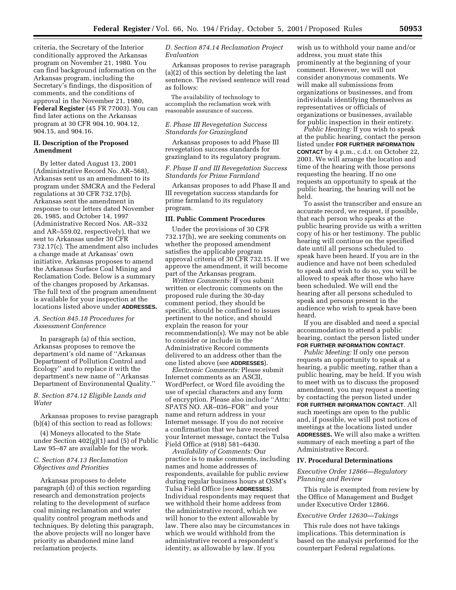criteria, the Secretary of the Interior conditionally approved the Arkansas program on November 21, 1980. You can find background information on the Arkansas program, including the Secretary's findings, the disposition of comments, and the conditions of approval in the November 21, 1980, **Federal Register** (45 FR 77003). You can find later actions on the Arkansas program at 30 CFR 904.10, 904.12, 904.15, and 904.16.

# **II. Description of the Proposed Amendment**

By letter dated August 13, 2001 (Administrative Record No. AR–568), Arkansas sent us an amendment to its program under SMCRA and the Federal regulations at 30 CFR 732.17(b). Arkansas sent the amendment in response to our letters dated November 26, 1985, and October 14, 1997 (Administrative Record Nos. AR–332 and AR–559.02, respectively), that we sent to Arkansas under 30 CFR 732.17(c). The amendment also includes a change made at Arkansas' own initiative. Arkansas proposes to amend the Arkansas Surface Coal Mining and Reclamation Code. Below is a summary of the changes proposed by Arkansas. The full text of the program amendment is available for your inspection at the locations listed above under **ADDRESSES.**

### *A. Section 845.18 Procedures for Assessment Conference*

In paragraph (a) of this section, Arkansas proposes to remove the department's old name of ''Arkansas Department of Pollution Control and Ecology'' and to replace it with the department's new name of ''Arkansas Department of Environmental Quality.''

# *B. Section 874.12 Eligible Lands and Water*

Arkansas proposes to revise paragraph (b)(4) of this section to read as follows:

(4) Moneys allocated to the State under Section 402(g)(1) and (5) of Public Law 95–87 are available for the work.

### *C. Section 874.13 Reclamation Objectives and Priorities*

Arkansas proposes to delete paragraph (d) of this section regarding research and demonstration projects relating to the development of surface coal mining reclamation and water quality control program methods and techniques. By deleting this paragraph, the above projects will no longer have priority as abandoned mine land reclamation projects.

# *D. Section 874.14 Reclamation Project Evaluation*

Arkansas proposes to revise paragraph (a)(2) of this section by deleting the last sentence. The revised sentence will read as follows:

The availability of technology to accomplish the reclamation work with reasonable assurance of success.

## *E. Phase III Revegetation Success Standards for Grazingland*

Arkansas proposes to add Phase III revegetation success standards for grazingland to its regulatory program.

# *F. Phase II and III Revegetation Success Standards for Prime Farmland*

Arkansas proposes to add Phase II and III revegetation success standards for prime farmland to its regulatory program.

#### **III. Public Comment Procedures**

Under the provisions of 30 CFR 732.17(h), we are seeking comments on whether the proposed amendment satisfies the applicable program approval criteria of 30 CFR 732.15. If we approve the amendment, it will become part of the Arkansas program.

*Written Comments:* If you submit written or electronic comments on the proposed rule during the 30-day comment period, they should be specific, should be confined to issues pertinent to the notice, and should explain the reason for your recommendation(s). We may not be able to consider or include in the Administrative Record comments delivered to an address other than the one listed above (see **ADDRESSES**).

*Electronic Comments:* Please submit Internet comments as an ASCII, WordPerfect, or Word file avoiding the use of special characters and any form of encryption. Please also include ''Attn: SPATS NO. AR–036–FOR'' and your name and return address in your Internet message. If you do not receive a confirmation that we have received your Internet message, contact the Tulsa Field Office at (918) 581–6430.

*Availability of Comments:* Our practice is to make comments, including names and home addresses of respondents, available for public review during regular business hours at OSM's Tulsa Field Office (see **ADDRESSES**). Individual respondents may request that we withhold their home address from the administrative record, which we will honor to the extent allowable by law. There also may be circumstances in which we would withhold from the administrative record a respondent's identity, as allowable by law. If you

wish us to withhold your name and/or address, you must state this prominently at the beginning of your comment. However, we will not consider anonymous comments. We will make all submissions from organizations or businesses, and from individuals identifying themselves as representatives or officials of organizations or businesses, available for public inspection in their entirety.

*Public Hearing:* If you wish to speak at the public hearing, contact the person listed under **FOR FURTHER INFORMATION CONTACT** by 4 p.m., c.d.t. on October 22, 2001. We will arrange the location and time of the hearing with those persons requesting the hearing. If no one requests an opportunity to speak at the public hearing, the hearing will not be held.

To assist the transcriber and ensure an accurate record, we request, if possible, that each person who speaks at the public hearing provide us with a written copy of his or her testimony. The public hearing will continue on the specified date until all persons scheduled to speak have been heard. If you are in the audience and have not been scheduled to speak and wish to do so, you will be allowed to speak after those who have been scheduled. We will end the hearing after all persons scheduled to speak and persons present in the audience who wish to speak have been heard.

If you are disabled and need a special accommodation to attend a public hearing, contact the person listed under **FOR FURTHER INFORMATION CONTACT**.

*Public Meeting:* If only one person requests an opportunity to speak at a hearing, a public meeting, rather than a public hearing, may be held. If you wish to meet with us to discuss the proposed amendment, you may request a meeting by contacting the person listed under **FOR FURTHER INFORMATION CONTACT**. All such meetings are open to the public and, if possible, we will post notices of meetings at the locations listed under **ADDRESSES.** We will also make a written summary of each meeting a part of the Administrative Record.

#### **IV. Procedural Determinations**

# *Executive Order 12866—Regulatory Planning and Review*

This rule is exempted from review by the Office of Management and Budget under Executive Order 12866.

### *Executive Order 12630—Takings*

This rule does not have takings implications. This determination is based on the analysis performed for the counterpart Federal regulations.